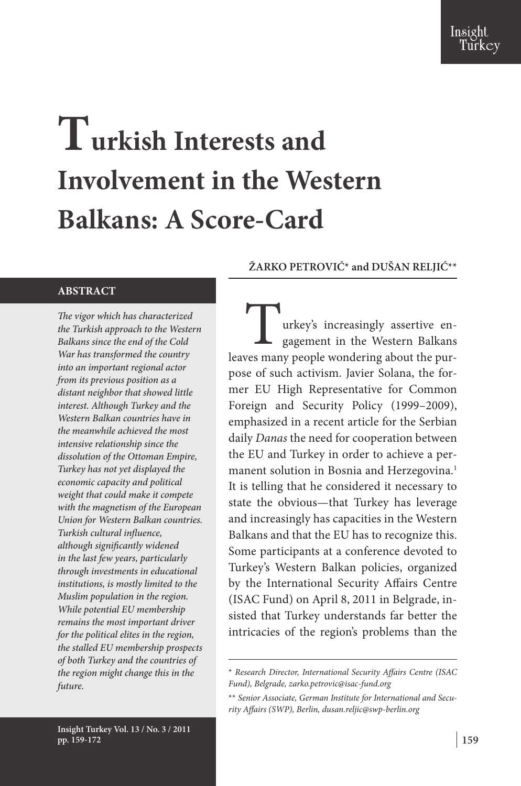# **Turkish Interests and Involvement in the Western Balkans: A Score-Card**

#### **ABSTRACT**

*The vigor which has characterized the Turkish approach to the Western Balkans since the end of the Cold War has transformed the country into an important regional actor from its previous position as a distant neighbor that showed little interest. Although Turkey and the Western Balkan countries have in the meanwhile achieved the most intensive relationship since the dissolution of the Ottoman Empire, Turkey has not yet displayed the economic capacity and political weight that could make it compete with the magnetism of the European Union for Western Balkan countries. Turkish cultural influence, although significantly widened in the last few years, particularly through investments in educational institutions, is mostly limited to the Muslim population in the region. While potential EU membership remains the most important driver for the political elites in the region, the stalled EU membership prospects of both Turkey and the countries of the region might change this in the future.*

**ŽARKO PETROVIĆ\* and DUŠAN RELJIĆ\*\***

**Turkish Interests and Involvement in the Western Balkans: A Score-Card**

**Turkey's increasingly assertive en**gagement in the Western Balkans leaves many people wondering about the purpose of such activism. Javier Solana, the former EU High Representative for Common Foreign and Security Policy (1999–2009), emphasized in a recent article for the Serbian daily *Danas* the need for cooperation between the EU and Turkey in order to achieve a permanent solution in Bosnia and Herzegovina.<sup>1</sup> It is telling that he considered it necessary to state the obvious—that Turkey has leverage and increasingly has capacities in the Western Balkans and that the EU has to recognize this. Some participants at a conference devoted to Turkey's Western Balkan policies, organized by the International Security Affairs Centre (ISAC Fund) on April 8, 2011 in Belgrade, insisted that Turkey understands far better the intricacies of the region's problems than the

<sup>\*</sup> *Research Director, International Security Affairs Centre (ISAC Fund), Belgrade, zarko.petrovic@isac-fund.org*

<sup>\*\*</sup> *Senior Associate, German Institute for International and Security Affairs (SWP), Berlin, dusan.reljic@swp-berlin.org*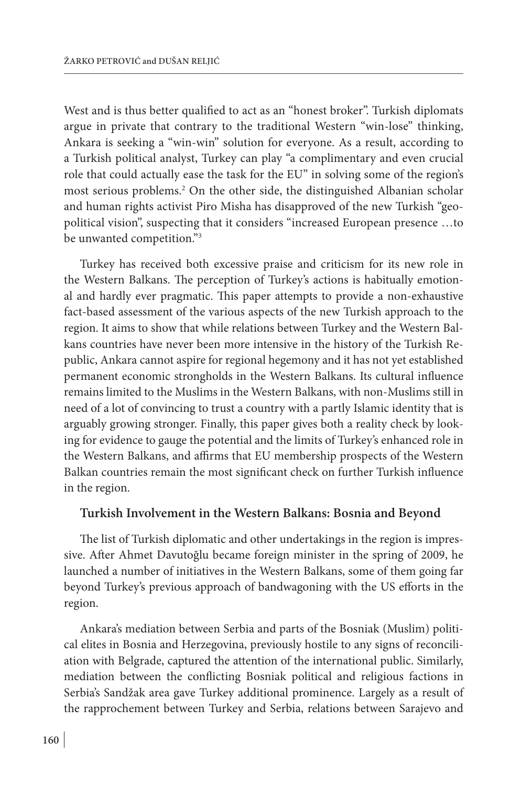West and is thus better qualified to act as an "honest broker". Turkish diplomats argue in private that contrary to the traditional Western "win-lose" thinking, Ankara is seeking a "win-win" solution for everyone. As a result, according to a Turkish political analyst, Turkey can play "a complimentary and even crucial role that could actually ease the task for the EU" in solving some of the region's most serious problems.2 On the other side, the distinguished Albanian scholar and human rights activist Piro Misha has disapproved of the new Turkish "geopolitical vision", suspecting that it considers "increased European presence …to be unwanted competition."3

Turkey has received both excessive praise and criticism for its new role in the Western Balkans. The perception of Turkey's actions is habitually emotional and hardly ever pragmatic. This paper attempts to provide a non-exhaustive fact-based assessment of the various aspects of the new Turkish approach to the region. It aims to show that while relations between Turkey and the Western Balkans countries have never been more intensive in the history of the Turkish Republic, Ankara cannot aspire for regional hegemony and it has not yet established permanent economic strongholds in the Western Balkans. Its cultural influence remains limited to the Muslims in the Western Balkans, with non-Muslims still in need of a lot of convincing to trust a country with a partly Islamic identity that is arguably growing stronger. Finally, this paper gives both a reality check by looking for evidence to gauge the potential and the limits of Turkey's enhanced role in the Western Balkans, and affirms that EU membership prospects of the Western Balkan countries remain the most significant check on further Turkish influence in the region.

## **Turkish Involvement in the Western Balkans: Bosnia and Beyond**

The list of Turkish diplomatic and other undertakings in the region is impressive. After Ahmet Davutoğlu became foreign minister in the spring of 2009, he launched a number of initiatives in the Western Balkans, some of them going far beyond Turkey's previous approach of bandwagoning with the US efforts in the region.

Ankara's mediation between Serbia and parts of the Bosniak (Muslim) political elites in Bosnia and Herzegovina, previously hostile to any signs of reconciliation with Belgrade, captured the attention of the international public. Similarly, mediation between the conflicting Bosniak political and religious factions in Serbia's Sandžak area gave Turkey additional prominence. Largely as a result of the rapprochement between Turkey and Serbia, relations between Sarajevo and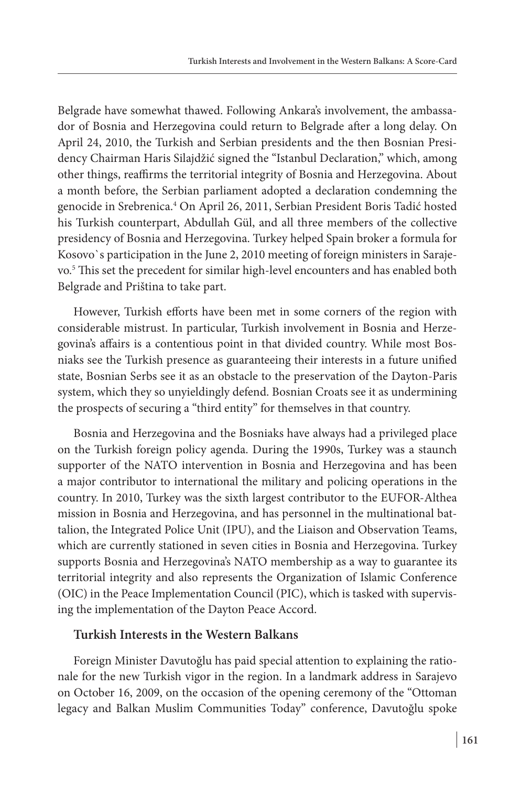Belgrade have somewhat thawed. Following Ankara's involvement, the ambassador of Bosnia and Herzegovina could return to Belgrade after a long delay. On April 24, 2010, the Turkish and Serbian presidents and the then Bosnian Presidency Chairman Haris Silajdžić signed the "Istanbul Declaration," which, among other things, reaffirms the territorial integrity of Bosnia and Herzegovina. About a month before, the Serbian parliament adopted a declaration condemning the genocide in Srebrenica.4 On April 26, 2011, Serbian President Boris Tadić hosted his Turkish counterpart, Abdullah Gül, and all three members of the collective presidency of Bosnia and Herzegovina. Turkey helped Spain broker a formula for Kosovo`s participation in the June 2, 2010 meeting of foreign ministers in Sarajevo.5 This set the precedent for similar high-level encounters and has enabled both Belgrade and Priština to take part.

However, Turkish efforts have been met in some corners of the region with considerable mistrust. In particular, Turkish involvement in Bosnia and Herzegovina's affairs is a contentious point in that divided country. While most Bosniaks see the Turkish presence as guaranteeing their interests in a future unified state, Bosnian Serbs see it as an obstacle to the preservation of the Dayton-Paris system, which they so unyieldingly defend. Bosnian Croats see it as undermining the prospects of securing a "third entity" for themselves in that country.

Bosnia and Herzegovina and the Bosniaks have always had a privileged place on the Turkish foreign policy agenda. During the 1990s, Turkey was a staunch supporter of the NATO intervention in Bosnia and Herzegovina and has been a major contributor to international the military and policing operations in the country. In 2010, Turkey was the sixth largest contributor to the EUFOR-Althea mission in Bosnia and Herzegovina, and has personnel in the multinational battalion, the Integrated Police Unit (IPU), and the Liaison and Observation Teams, which are currently stationed in seven cities in Bosnia and Herzegovina. Turkey supports Bosnia and Herzegovina's NATO membership as a way to guarantee its territorial integrity and also represents the Organization of Islamic Conference (OIC) in the Peace Implementation Council (PIC), which is tasked with supervising the implementation of the Dayton Peace Accord.

## **Turkish Interests in the Western Balkans**

Foreign Minister Davutoğlu has paid special attention to explaining the rationale for the new Turkish vigor in the region. In a landmark address in Sarajevo on October 16, 2009, on the occasion of the opening ceremony of the "Ottoman legacy and Balkan Muslim Communities Today" conference, Davutoğlu spoke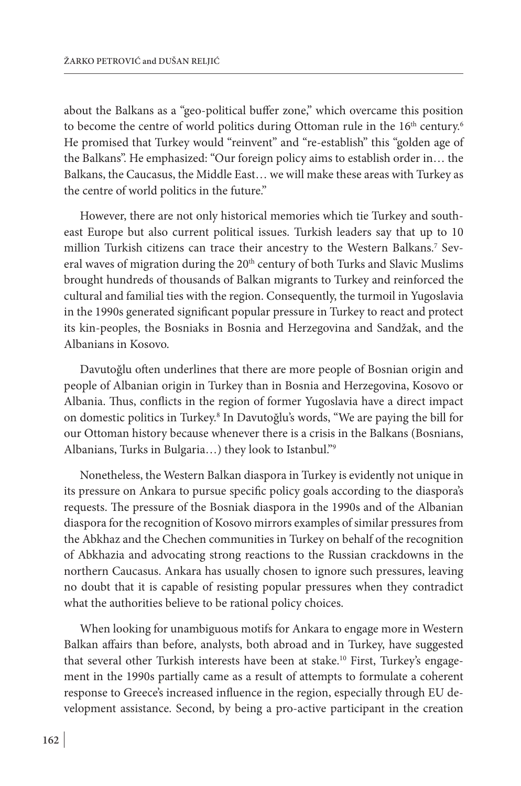about the Balkans as a "geo-political buffer zone," which overcame this position to become the centre of world politics during Ottoman rule in the  $16<sup>th</sup>$  century.<sup>6</sup> He promised that Turkey would "reinvent" and "re-establish" this "golden age of the Balkans". He emphasized: "Our foreign policy aims to establish order in… the Balkans, the Caucasus, the Middle East… we will make these areas with Turkey as the centre of world politics in the future."

However, there are not only historical memories which tie Turkey and southeast Europe but also current political issues. Turkish leaders say that up to 10 million Turkish citizens can trace their ancestry to the Western Balkans.7 Several waves of migration during the 20<sup>th</sup> century of both Turks and Slavic Muslims brought hundreds of thousands of Balkan migrants to Turkey and reinforced the cultural and familial ties with the region. Consequently, the turmoil in Yugoslavia in the 1990s generated significant popular pressure in Turkey to react and protect its kin-peoples, the Bosniaks in Bosnia and Herzegovina and Sandžak, and the Albanians in Kosovo.

Davutoğlu often underlines that there are more people of Bosnian origin and people of Albanian origin in Turkey than in Bosnia and Herzegovina, Kosovo or Albania. Thus, conflicts in the region of former Yugoslavia have a direct impact on domestic politics in Turkey.8 In Davutoğlu's words, "We are paying the bill for our Ottoman history because whenever there is a crisis in the Balkans (Bosnians, Albanians, Turks in Bulgaria…) they look to Istanbul."9

Nonetheless, the Western Balkan diaspora in Turkey is evidently not unique in its pressure on Ankara to pursue specific policy goals according to the diaspora's requests. The pressure of the Bosniak diaspora in the 1990s and of the Albanian diaspora for the recognition of Kosovo mirrors examples of similar pressures from the Abkhaz and the Chechen communities in Turkey on behalf of the recognition of Abkhazia and advocating strong reactions to the Russian crackdowns in the northern Caucasus. Ankara has usually chosen to ignore such pressures, leaving no doubt that it is capable of resisting popular pressures when they contradict what the authorities believe to be rational policy choices.

When looking for unambiguous motifs for Ankara to engage more in Western Balkan affairs than before, analysts, both abroad and in Turkey, have suggested that several other Turkish interests have been at stake.<sup>10</sup> First, Turkey's engagement in the 1990s partially came as a result of attempts to formulate a coherent response to Greece's increased influence in the region, especially through EU development assistance. Second, by being a pro-active participant in the creation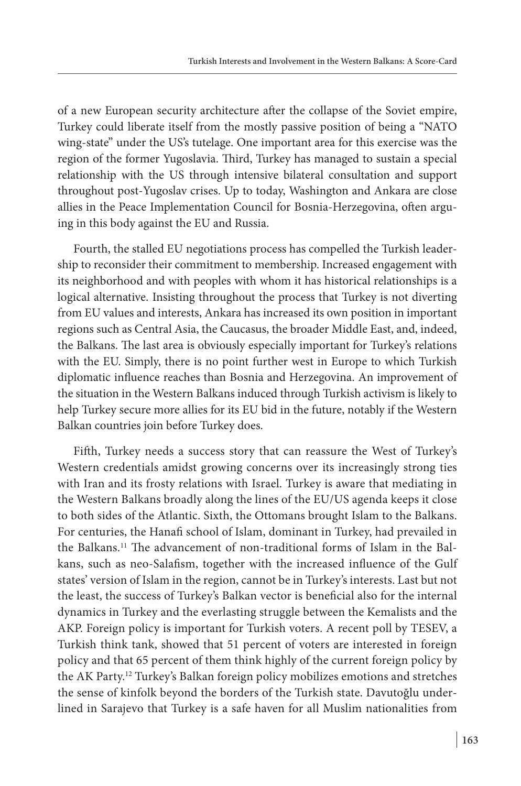of a new European security architecture after the collapse of the Soviet empire, Turkey could liberate itself from the mostly passive position of being a "NATO wing-state" under the US's tutelage. One important area for this exercise was the region of the former Yugoslavia. Third, Turkey has managed to sustain a special relationship with the US through intensive bilateral consultation and support throughout post-Yugoslav crises. Up to today, Washington and Ankara are close allies in the Peace Implementation Council for Bosnia-Herzegovina, often arguing in this body against the EU and Russia.

Fourth, the stalled EU negotiations process has compelled the Turkish leadership to reconsider their commitment to membership. Increased engagement with its neighborhood and with peoples with whom it has historical relationships is a logical alternative. Insisting throughout the process that Turkey is not diverting from EU values and interests, Ankara has increased its own position in important regions such as Central Asia, the Caucasus, the broader Middle East, and, indeed, the Balkans. The last area is obviously especially important for Turkey's relations with the EU. Simply, there is no point further west in Europe to which Turkish diplomatic influence reaches than Bosnia and Herzegovina. An improvement of the situation in the Western Balkans induced through Turkish activism is likely to help Turkey secure more allies for its EU bid in the future, notably if the Western Balkan countries join before Turkey does.

Fifth, Turkey needs a success story that can reassure the West of Turkey's Western credentials amidst growing concerns over its increasingly strong ties with Iran and its frosty relations with Israel. Turkey is aware that mediating in the Western Balkans broadly along the lines of the EU/US agenda keeps it close to both sides of the Atlantic. Sixth, the Ottomans brought Islam to the Balkans. For centuries, the Hanafi school of Islam, dominant in Turkey, had prevailed in the Balkans.11 The advancement of non-traditional forms of Islam in the Balkans, such as neo-Salafism, together with the increased influence of the Gulf states' version of Islam in the region, cannot be in Turkey's interests. Last but not the least, the success of Turkey's Balkan vector is beneficial also for the internal dynamics in Turkey and the everlasting struggle between the Kemalists and the AKP. Foreign policy is important for Turkish voters. A recent poll by TESEV, a Turkish think tank, showed that 51 percent of voters are interested in foreign policy and that 65 percent of them think highly of the current foreign policy by the AK Party.12 Turkey's Balkan foreign policy mobilizes emotions and stretches the sense of kinfolk beyond the borders of the Turkish state. Davutoğlu underlined in Sarajevo that Turkey is a safe haven for all Muslim nationalities from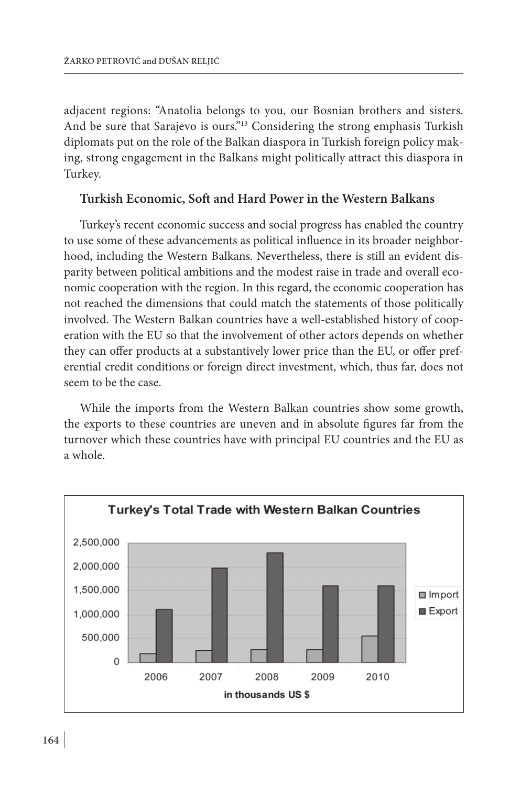adjacent regions: "Anatolia belongs to you, our Bosnian brothers and sisters. And be sure that Sarajevo is ours."<sup>13</sup> Considering the strong emphasis Turkish diplomats put on the role of the Balkan diaspora in Turkish foreign policy making, strong engagement in the Balkans might politically attract this diaspora in Turkey.

## **Turkish Economic, Soft and Hard Power in the Western Balkans**

Turkey's recent economic success and social progress has enabled the country to use some of these advancements as political influence in its broader neighborhood, including the Western Balkans. Nevertheless, there is still an evident disparity between political ambitions and the modest raise in trade and overall economic cooperation with the region. In this regard, the economic cooperation has not reached the dimensions that could match the statements of those politically involved. The Western Balkan countries have a well-established history of cooperation with the EU so that the involvement of other actors depends on whether they can offer products at a substantively lower price than the EU, or offer preferential credit conditions or foreign direct investment, which, thus far, does not seem to be the case.

While the imports from the Western Balkan countries show some growth, the exports to these countries are uneven and in absolute figures far from the turnover which these countries have with principal EU countries and the EU as a whole.

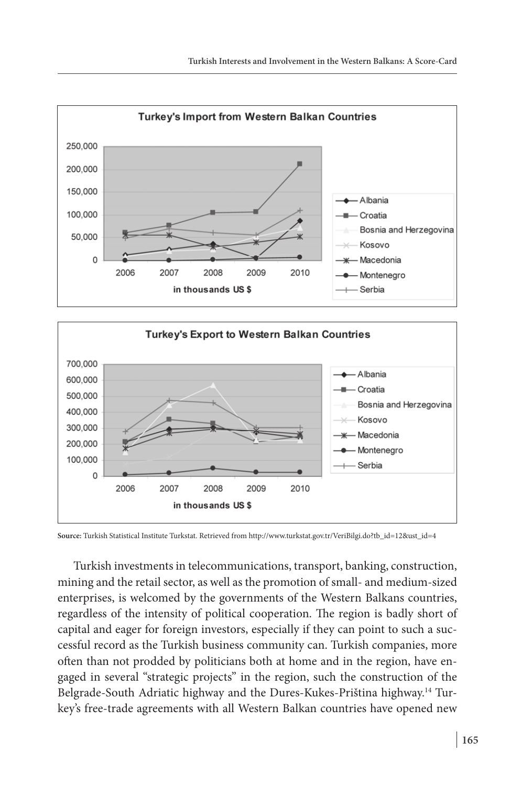



**Source:** Turkish Statistical Institute Turkstat. Retrieved from http://www.turkstat.gov.tr/VeriBilgi.do?tb\_id=12&ust\_id=4

Turkish investments in telecommunications, transport, banking, construction, mining and the retail sector, as well as the promotion of small- and medium-sized enterprises, is welcomed by the governments of the Western Balkans countries, regardless of the intensity of political cooperation. The region is badly short of capital and eager for foreign investors, especially if they can point to such a successful record as the Turkish business community can. Turkish companies, more often than not prodded by politicians both at home and in the region, have engaged in several "strategic projects" in the region, such the construction of the Belgrade-South Adriatic highway and the Dures-Kukes-Priština highway.14 Turkey's free-trade agreements with all Western Balkan countries have opened new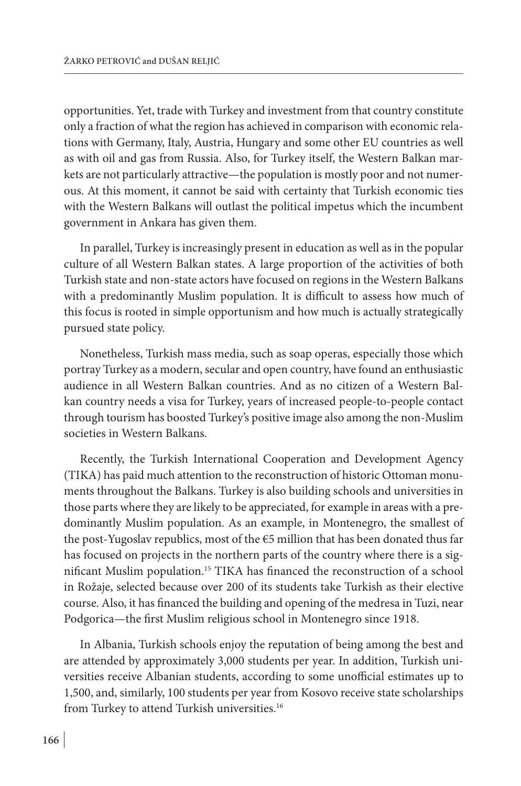opportunities. Yet, trade with Turkey and investment from that country constitute only a fraction of what the region has achieved in comparison with economic relations with Germany, Italy, Austria, Hungary and some other EU countries as well as with oil and gas from Russia. Also, for Turkey itself, the Western Balkan markets are not particularly attractive—the population is mostly poor and not numerous. At this moment, it cannot be said with certainty that Turkish economic ties with the Western Balkans will outlast the political impetus which the incumbent government in Ankara has given them.

In parallel, Turkey is increasingly present in education as well as in the popular culture of all Western Balkan states. A large proportion of the activities of both Turkish state and non-state actors have focused on regions in the Western Balkans with a predominantly Muslim population. It is difficult to assess how much of this focus is rooted in simple opportunism and how much is actually strategically pursued state policy.

Nonetheless, Turkish mass media, such as soap operas, especially those which portray Turkey as a modern, secular and open country, have found an enthusiastic audience in all Western Balkan countries. And as no citizen of a Western Balkan country needs a visa for Turkey, years of increased people-to-people contact through tourism has boosted Turkey's positive image also among the non-Muslim societies in Western Balkans.

Recently, the Turkish International Cooperation and Development Agency (TIKA) has paid much attention to the reconstruction of historic Ottoman monuments throughout the Balkans. Turkey is also building schools and universities in those parts where they are likely to be appreciated, for example in areas with a predominantly Muslim population. As an example, in Montenegro, the smallest of the post-Yugoslav republics, most of the €5 million that has been donated thus far has focused on projects in the northern parts of the country where there is a significant Muslim population.15 TIKA has financed the reconstruction of a school in Rožaje, selected because over 200 of its students take Turkish as their elective course. Also, it has financed the building and opening of the medresa in Tuzi, near Podgorica—the first Muslim religious school in Montenegro since 1918.

In Albania, Turkish schools enjoy the reputation of being among the best and are attended by approximately 3,000 students per year. In addition, Turkish universities receive Albanian students, according to some unofficial estimates up to 1,500, and, similarly, 100 students per year from Kosovo receive state scholarships from Turkey to attend Turkish universities.<sup>16</sup>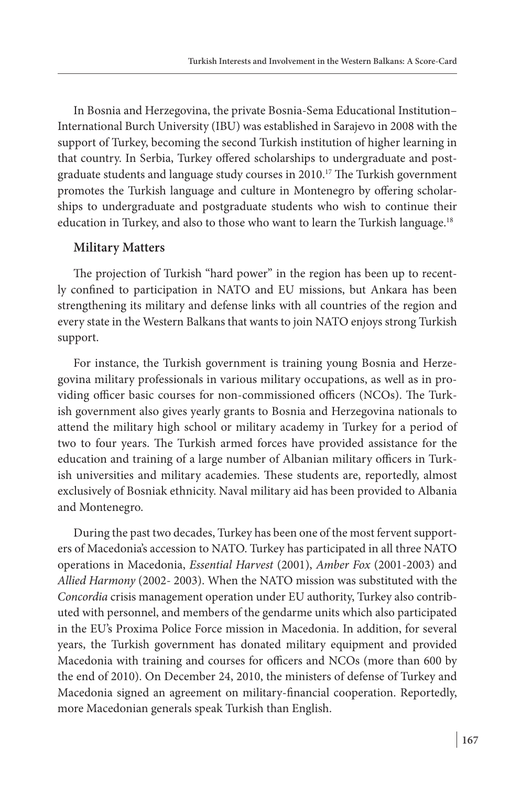In Bosnia and Herzegovina, the private Bosnia-Sema Educational Institution– International Burch University (IBU) was established in Sarajevo in 2008 with the support of Turkey, becoming the second Turkish institution of higher learning in that country. In Serbia, Turkey offered scholarships to undergraduate and postgraduate students and language study courses in 2010.17 The Turkish government promotes the Turkish language and culture in Montenegro by offering scholarships to undergraduate and postgraduate students who wish to continue their education in Turkey, and also to those who want to learn the Turkish language.<sup>18</sup>

## **Military Matters**

The projection of Turkish "hard power" in the region has been up to recently confined to participation in NATO and EU missions, but Ankara has been strengthening its military and defense links with all countries of the region and every state in the Western Balkans that wants to join NATO enjoys strong Turkish support.

For instance, the Turkish government is training young Bosnia and Herzegovina military professionals in various military occupations, as well as in providing officer basic courses for non-commissioned officers (NCOs). The Turkish government also gives yearly grants to Bosnia and Herzegovina nationals to attend the military high school or military academy in Turkey for a period of two to four years. The Turkish armed forces have provided assistance for the education and training of a large number of Albanian military officers in Turkish universities and military academies. These students are, reportedly, almost exclusively of Bosniak ethnicity. Naval military aid has been provided to Albania and Montenegro.

During the past two decades, Turkey has been one of the most fervent supporters of Macedonia's accession to NATO. Turkey has participated in all three NATO operations in Macedonia, *Essential Harvest* (2001), *Amber Fox* (2001-2003) and *Allied Harmony* (2002- 2003). When the NATO mission was substituted with the *Concordia* crisis management operation under EU authority, Turkey also contributed with personnel, and members of the gendarme units which also participated in the EU's Proxima Police Force mission in Macedonia. In addition, for several years, the Turkish government has donated military equipment and provided Macedonia with training and courses for officers and NCOs (more than 600 by the end of 2010). On December 24, 2010, the ministers of defense of Turkey and Macedonia signed an agreement on military-financial cooperation. Reportedly, more Macedonian generals speak Turkish than English.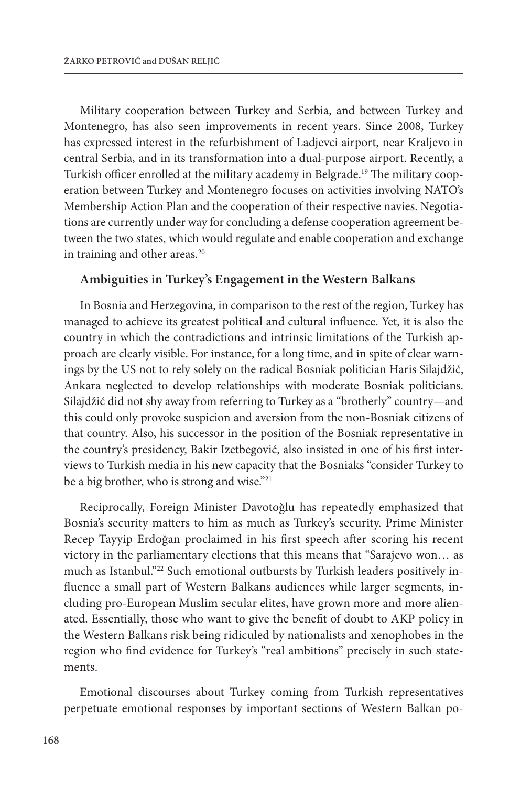Military cooperation between Turkey and Serbia, and between Turkey and Montenegro, has also seen improvements in recent years. Since 2008, Turkey has expressed interest in the refurbishment of Ladjevci airport, near Kraljevo in central Serbia, and in its transformation into a dual-purpose airport. Recently, a Turkish officer enrolled at the military academy in Belgrade.<sup>19</sup> The military cooperation between Turkey and Montenegro focuses on activities involving NATO's Membership Action Plan and the cooperation of their respective navies. Negotiations are currently under way for concluding a defense cooperation agreement between the two states, which would regulate and enable cooperation and exchange in training and other areas.<sup>20</sup>

### **Ambiguities in Turkey's Engagement in the Western Balkans**

In Bosnia and Herzegovina, in comparison to the rest of the region, Turkey has managed to achieve its greatest political and cultural influence. Yet, it is also the country in which the contradictions and intrinsic limitations of the Turkish approach are clearly visible. For instance, for a long time, and in spite of clear warnings by the US not to rely solely on the radical Bosniak politician Haris Silajdžić, Ankara neglected to develop relationships with moderate Bosniak politicians. Silajdžić did not shy away from referring to Turkey as a "brotherly" country—and this could only provoke suspicion and aversion from the non-Bosniak citizens of that country. Also, his successor in the position of the Bosniak representative in the country's presidency, Bakir Izetbegović, also insisted in one of his first interviews to Turkish media in his new capacity that the Bosniaks "consider Turkey to be a big brother, who is strong and wise."<sup>21</sup>

Reciprocally, Foreign Minister Davotoğlu has repeatedly emphasized that Bosnia's security matters to him as much as Turkey's security. Prime Minister Recep Tayyip Erdoğan proclaimed in his first speech after scoring his recent victory in the parliamentary elections that this means that "Sarajevo won… as much as Istanbul."<sup>22</sup> Such emotional outbursts by Turkish leaders positively influence a small part of Western Balkans audiences while larger segments, including pro-European Muslim secular elites, have grown more and more alienated. Essentially, those who want to give the benefit of doubt to AKP policy in the Western Balkans risk being ridiculed by nationalists and xenophobes in the region who find evidence for Turkey's "real ambitions" precisely in such statements.

Emotional discourses about Turkey coming from Turkish representatives perpetuate emotional responses by important sections of Western Balkan po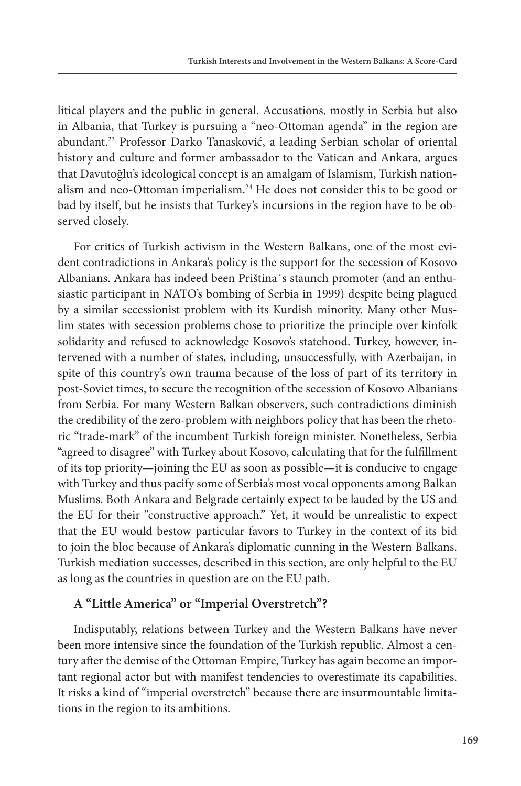litical players and the public in general. Accusations, mostly in Serbia but also in Albania, that Turkey is pursuing a "neo-Ottoman agenda" in the region are abundant.23 Professor Darko Tanasković, a leading Serbian scholar of oriental history and culture and former ambassador to the Vatican and Ankara, argues that Davutoğlu's ideological concept is an amalgam of Islamism, Turkish nationalism and neo-Ottoman imperialism.24 He does not consider this to be good or bad by itself, but he insists that Turkey's incursions in the region have to be observed closely.

For critics of Turkish activism in the Western Balkans, one of the most evident contradictions in Ankara's policy is the support for the secession of Kosovo Albanians. Ankara has indeed been Priština´s staunch promoter (and an enthusiastic participant in NATO's bombing of Serbia in 1999) despite being plagued by a similar secessionist problem with its Kurdish minority. Many other Muslim states with secession problems chose to prioritize the principle over kinfolk solidarity and refused to acknowledge Kosovo's statehood. Turkey, however, intervened with a number of states, including, unsuccessfully, with Azerbaijan, in spite of this country's own trauma because of the loss of part of its territory in post-Soviet times, to secure the recognition of the secession of Kosovo Albanians from Serbia. For many Western Balkan observers, such contradictions diminish the credibility of the zero-problem with neighbors policy that has been the rhetoric "trade-mark" of the incumbent Turkish foreign minister. Nonetheless, Serbia "agreed to disagree" with Turkey about Kosovo, calculating that for the fulfillment of its top priority—joining the EU as soon as possible—it is conducive to engage with Turkey and thus pacify some of Serbia's most vocal opponents among Balkan Muslims. Both Ankara and Belgrade certainly expect to be lauded by the US and the EU for their "constructive approach." Yet, it would be unrealistic to expect that the EU would bestow particular favors to Turkey in the context of its bid to join the bloc because of Ankara's diplomatic cunning in the Western Balkans. Turkish mediation successes, described in this section, are only helpful to the EU as long as the countries in question are on the EU path.

# **A "Little America" or "Imperial Overstretch"?**

Indisputably, relations between Turkey and the Western Balkans have never been more intensive since the foundation of the Turkish republic. Almost a century after the demise of the Ottoman Empire, Turkey has again become an important regional actor but with manifest tendencies to overestimate its capabilities. It risks a kind of "imperial overstretch" because there are insurmountable limitations in the region to its ambitions.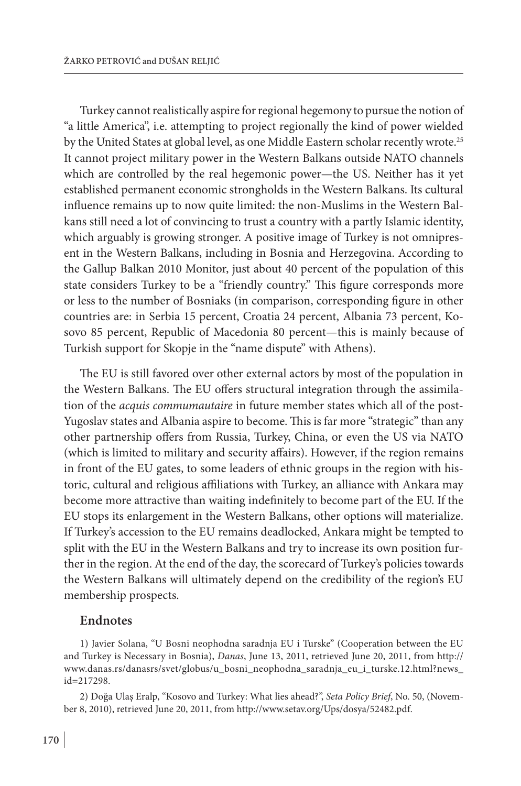Turkey cannot realistically aspire for regional hegemony to pursue the notion of "a little America", i.e. attempting to project regionally the kind of power wielded by the United States at global level, as one Middle Eastern scholar recently wrote.<sup>25</sup> It cannot project military power in the Western Balkans outside NATO channels which are controlled by the real hegemonic power—the US. Neither has it yet established permanent economic strongholds in the Western Balkans. Its cultural influence remains up to now quite limited: the non-Muslims in the Western Balkans still need a lot of convincing to trust a country with a partly Islamic identity, which arguably is growing stronger. A positive image of Turkey is not omnipresent in the Western Balkans, including in Bosnia and Herzegovina. According to the Gallup Balkan 2010 Monitor, just about 40 percent of the population of this state considers Turkey to be a "friendly country." This figure corresponds more or less to the number of Bosniaks (in comparison, corresponding figure in other countries are: in Serbia 15 percent, Croatia 24 percent, Albania 73 percent, Kosovo 85 percent, Republic of Macedonia 80 percent—this is mainly because of Turkish support for Skopje in the "name dispute" with Athens).

The EU is still favored over other external actors by most of the population in the Western Balkans. The EU offers structural integration through the assimilation of the *acquis commumautaire* in future member states which all of the post-Yugoslav states and Albania aspire to become. This is far more "strategic" than any other partnership offers from Russia, Turkey, China, or even the US via NATO (which is limited to military and security affairs). However, if the region remains in front of the EU gates, to some leaders of ethnic groups in the region with historic, cultural and religious affiliations with Turkey, an alliance with Ankara may become more attractive than waiting indefinitely to become part of the EU. If the EU stops its enlargement in the Western Balkans, other options will materialize. If Turkey's accession to the EU remains deadlocked, Ankara might be tempted to split with the EU in the Western Balkans and try to increase its own position further in the region. At the end of the day, the scorecard of Turkey's policies towards the Western Balkans will ultimately depend on the credibility of the region's EU membership prospects.

#### **Endnotes**

1) Javier Solana, "U Bosni neophodna saradnja EU i Turske" (Cooperation between the EU and Turkey is Necessary in Bosnia), *Danas*, June 13, 2011, retrieved June 20, 2011, from http:// www.danas.rs/danasrs/svet/globus/u\_bosni\_neophodna\_saradnja\_eu\_i\_turske.12.html?news\_ id=217298.

2) Doğa Ulaş Eralp, "Kosovo and Turkey: What lies ahead?", *Seta Policy Brief*, No. 50, (November 8, 2010), retrieved June 20, 2011, from http://www.setav.org/Ups/dosya/52482.pdf.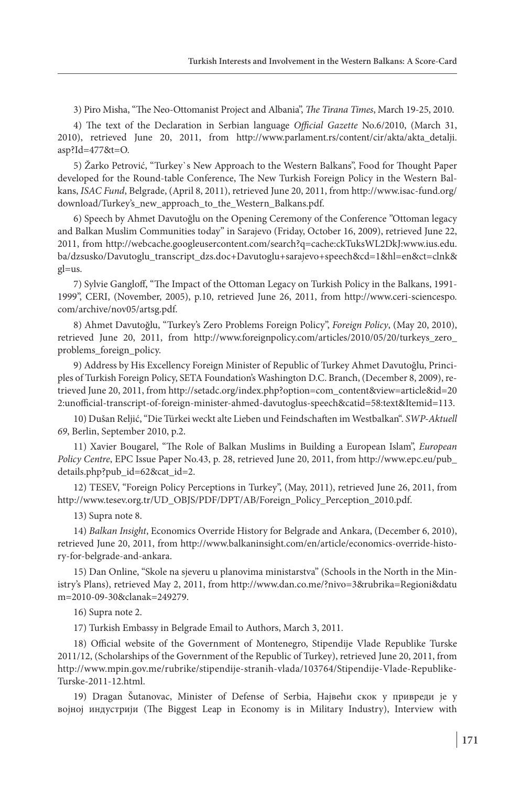3) Piro Misha, "The Neo-Ottomanist Project and Albania", *The Tirana Times*, March 19-25, 2010.

4) The text of the Declaration in Serbian language *Official Gazette* No.6/2010, (March 31, 2010), retrieved June 20, 2011, from http://www.parlament.rs/content/cir/akta/akta\_detalji. asp?Id=477&t=O.

5) Žarko Petrović, "Turkey`s New Approach to the Western Balkans", Food for Thought Paper developed for the Round-table Conference, The New Turkish Foreign Policy in the Western Balkans, *ISAC Fund*, Belgrade, (April 8, 2011), retrieved June 20, 2011, from http://www.isac-fund.org/ download/Turkey's\_new\_approach\_to\_the\_Western\_Balkans.pdf.

6) Speech by Ahmet Davutoğlu on the Opening Ceremony of the Conference "Ottoman legacy and Balkan Muslim Communities today" in Sarajevo (Friday, October 16, 2009), retrieved June 22, 2011, from http://webcache.googleusercontent.com/search?q=cache:ckTuksWL2DkJ:www.ius.edu. ba/dzsusko/Davutoglu\_transcript\_dzs.doc+Davutoglu+sarajevo+speech&cd=1&hl=en&ct=clnk& gl=us.

7) Sylvie Gangloff, "The Impact of the Ottoman Legacy on Turkish Policy in the Balkans, 1991- 1999", CERI, (November, 2005), p.10, retrieved June 26, 2011, from http://www.ceri-sciencespo. com/archive/nov05/artsg.pdf.

8) Ahmet Davutoğlu, "Turkey's Zero Problems Foreign Policy", *Foreign Policy*, (May 20, 2010), retrieved June 20, 2011, from http://www.foreignpolicy.com/articles/2010/05/20/turkeys\_zero\_ problems\_foreign\_policy.

9) Address by His Excellency Foreign Minister of Republic of Turkey Ahmet Davutoğlu, Principles of Turkish Foreign Policy, SETA Foundation's Washington D.C. Branch, (December 8, 2009), retrieved June 20, 2011, from http://setadc.org/index.php?option=com\_content&view=article&id=20 2:unofficial-transcript-of-foreign-minister-ahmed-davutoglus-speech&catid=58:text&Itemid=113.

10) Dušan Reljić, "Die Türkei weckt alte Lieben und Feindschaften im Westbalkan". *SWP-Aktuell 69*, Berlin, September 2010, p.2.

11) Xavier Bougarel, "The Role of Balkan Muslims in Building a European Islam", *European Policy Centre*, EPC Issue Paper No.43, p. 28, retrieved June 20, 2011, from http://www.epc.eu/pub\_ details.php?pub\_id=62&cat\_id=2.

12) TESEV, "Foreign Policy Perceptions in Turkey", (May, 2011), retrieved June 26, 2011, from http://www.tesev.org.tr/UD\_OBJS/PDF/DPT/AB/Foreign\_Policy\_Perception\_2010.pdf.

13) Supra note 8.

14) *Balkan Insight*, Economics Override History for Belgrade and Ankara, (December 6, 2010), retrieved June 20, 2011, from http://www.balkaninsight.com/en/article/economics-override-history-for-belgrade-and-ankara.

15) Dan Online, "Skole na sjeveru u planovima ministarstva" (Schools in the North in the Ministry's Plans), retrieved May 2, 2011, from http://www.dan.co.me/?nivo=3&rubrika=Regioni&datu m=2010-09-30&clanak=249279.

16) Supra note 2.

17) Turkish Embassy in Belgrade Email to Authors, March 3, 2011.

18) Official website of the Government of Montenegro, Stipendije Vlade Republike Turske 2011/12, (Scholarships of the Government of the Republic of Turkey), retrieved June 20, 2011, from http://www.mpin.gov.me/rubrike/stipendije-stranih-vlada/103764/Stipendije-Vlade-Republike-Turske-2011-12.html.

19) Dragan Šutanovac, Minister of Defense of Serbia, Највећи скок у привреди је у војној индустрији (The Biggest Leap in Economy is in Military Industry), Interview with